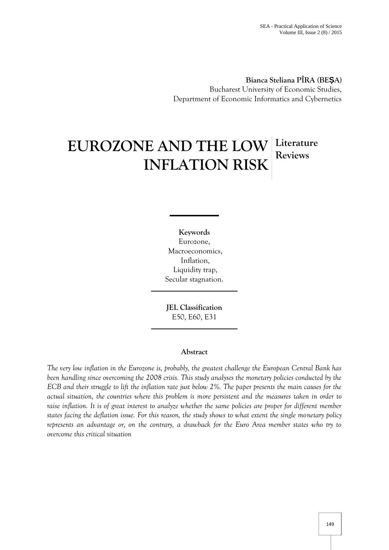**Bianca Steliana PÎRA (BE A)** Bucharest University of Economic Studies, Department of Economic Informatics and Cybernetics

# **EUROZONE AND THE LOW Literature INFLATION RISK Reviews**

**Keywords** Eurozone, Macroeconomics, Inflation, Liquidity trap, Secular stagnation.

**JEL Classification** E50, E60, E31

## **Abstract**

*The very low inflation in the Eurozone is, probably, the greatest challenge the European Central Bank has been handling since overcoming the 2008 crisis. This study analyses the monetary policies conducted by the ECB and their struggle to lift the inflation rate just below 2%. The paper presents the main causes for the actual situation, the countries where this problem is more persistent and the measures taken in order to raise inflation. It is of great interest to analyze whether the same policies are proper for different member states facing the deflation issue. For this reason, the study shows to what extent the single monetary policy represents an advantage or, on the contrary, a drawback for the Euro Area member states who try to overcome this critical situation*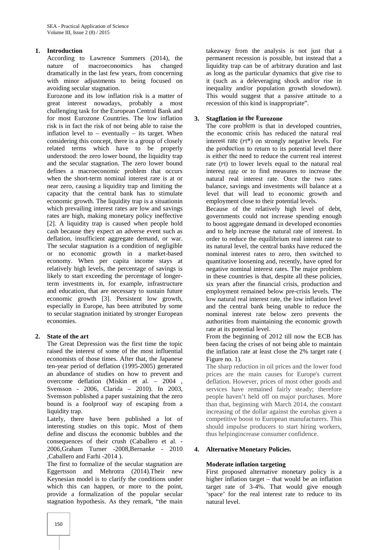## **1. Introduction**

According to Lawrence Summers (2014), the nature of macroeconomics has changed dramatically in the last few years, from concerning with minor adjustments to being focused on avoiding secular stagnation.

Eurozone and its low inflation risk is a matter of great interest nowadays, probably a most challenging task for the European Central Bank and for most Eurozone Countries. The low inflation 3. risk is in fact the risk of not being able to raise the inflation level to – eventually – its target. When considering this concept, there is a group of closely related terms which have to be properly understood: the zero lower bound, the liquidity trap and the secular stagnation. The zero lower bound defines a macroeconomic problem that occurs when the short-term nominal interest rate is at or near zero, causing a liquidity trap and limiting the capacity that the central bank has to stimulate economic growth. The liquidity trap is a situationin which prevailing interest rates are low and savings rates are high, making monetary policy ineffective [2]. A liquidity trap is caused when people hold cash because they expect an adverse event such as deflation, insufficient aggregate demand, or war. The secular stagnation is a condition of negligible or no economic growth in a market-based economy. When per capita income stays at relatively high levels, the percentage of savings is likely to start exceeding the percentage of longerterm investments in, for example, infrastructure and education, that are necessary to sustain future economic growth [3]. Persistent low growth, especially in Europe, has been attributed by some to secular stagnation initiated by stronger European economies.

## **2. State of the art**

The Great Depression was the first time the topic raised the interest of some of the most influential economists of those times. After that, the Japanese ten-year period of deflation (1995-2005) generated an abundance of studies on how to prevent and overcome deflation (Miskin et al. – 2004 , Svensson - 2006, Clarida – 2010). In 2003, Svensson published a paper sustaining that the zero bound is a foolproof way of escaping from a liquidity trap.

Lately, there have been published a lot of interesting studies on this topic. Most of them define and discuss the economic bubbles and the consequences of their crush (Caballero et al. - 2006,Graham Turner -2008,Bernanke - 2010 ,Caballero and Farhi -2014 ).

The first to formalize of the secular stagnation are Eggertsson and Mehrotra (2014).Their new Keynesian model is to clarify the conditions under which this can happen, or more to the point, provide a formalization of the popular secular stagnation hypothesis. As they remark, "the main

takeaway from the analysis is not just that a permanent recession is possible, but instead that a liquidity trap can be of arbitrary duration and last as long as the particular dynamics that give rise to it (such as a deleveraging shock and/or rise in inequality and/or population growth slowdown). This would suggest that a passive attitude to a recession of this kind is inappropriate".

## **3. Stagflation in the Eurozone**

The core problem is that in developed countries, the economic crisis has reduced the natural real interest rate  $(rt^*)$  on strongly negative levels. For the production to return to its potential level there is either the need to reduce the current real interest rate (rt) to lower levels equal to the natural real interest rate or to find measures to increase the natural real interest rate. Once the two rates balance, savings and investments will balance at a level that will lead to economic growth and employment close to their potential levels.

Because of the relatively high level of debt, governments could not increase spending enough to boost aggregate demand in developed economies and to help increase the natural rate of interest. In order to reduce the equilibrium real interest rate to its natural level, the central banks have reduced the nominal interest rates to zero, then switched to quantitative loosening and, recently, have opted for negative nominal interest rates. The major problem in these countries is that, despite all these policies, six years after the financial crisis, production and employment remained below pre-crisis levels. The low natural real interest rate, the low inflation level and the central bank being unable to reduce the nominal interest rate below zero prevents the authorities from maintaining the economic growth rate at its potential level.

From the beginning of 2012 till now the ECB has been facing the crises of not being able to maintain the inflation rate at least close the 2% target rate ( Figure no. 1).

The sharp reduction in oil prices and the lower food prices are the main causes for Europe's current deflation. However, prices of most other goods and services have remained fairly steady; therefore people haven't held off on major purchases. More than that, beginning with March 2014, the constant increasing of the dollar against the eurohas given a competitive boost to European manufacturers. This should impulse producers to start hiring workers, thus helpingincrease consumer confidence.

## **4. Alternative Monetary Policies.**

## **Moderate inflation targeting**

First proposed alternative monetary policy is a higher inflation target – that would be an inflation target rate of 3-4%. That would give enough 'space' for the real interest rate to reduce to its natural level.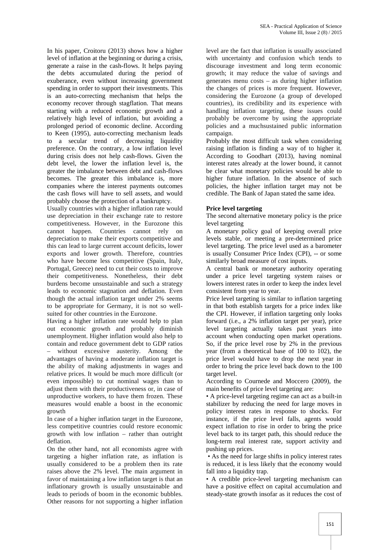In his paper, Croitoru (2013) shows how a higher level of inflation at the beginning or during a crisis, generate a raise in the cash-flows. It helps paying the debts accumulated during the period of exuberance, even without increasing government spending in order to support their investments. This is an auto-correcting mechanism that helps the economy recover through stagflation. That means starting with a reduced economic growth and a relatively high level of inflation, but avoiding a prolonged period of economic decline. According to Keen (1995), auto-correcting mechanism leads to a secular trend of decreasing liquidity preference. On the contrary, a low inflation level during crisis does not help cash-flows. Given the debt level, the lower the inflation level is, the greater the imbalance between debt and cash-flows becomes. The greater this imbalance is, more companies where the interest payments outcomes the cash flows will have to sell assets, and would probably choose the protection of a bankruptcy.

Usually countries with a higher inflation rate would use depreciation in their exchange rate to restore competitiveness. However, in the Eurozone this cannot happen. Countries cannot rely on depreciation to make their exports competitive and this can lead to large current account deficits, lower exports and lower growth. Therefore, countries who have become less competitive (Spain, Italy, Portugal, Greece) need to cut their costs to improve their competitiveness. Nonetheless, their debt burdens become unsustainable and such a strategy leads to economic stagnation and deflation. Even though the actual inflation target under 2% seems to be appropriate for Germany, it is not so well suited for other countries in the Eurozone.

Having a higher inflation rate would help to plan out economic growth and probably diminish unemployment. Higher inflation would also help to contain and reduce government debt to GDP ratios without excessive austerity. Among the advantages of having a moderate inflation target is the ability of making adjustments in wages and relative prices. It would be much more difficult (or even impossible) to cut nominal wages than to adjust them with their productiveness or, in case of unproductive workers, to have them frozen. These measures would enable a boost in the economic growth

In case of a higher inflation target in the Eurozone, less competitive countries could restore economic growth with low inflation – rather than outright deflation.

On the other hand, not all economists agree with targeting a higher inflation rate, as inflation is usually considered to be a problem then its rate raises above the 2% level. The main argument in favor of maintaining a low inflation target is that an inflationary growth is usually unsustainable and leads to periods of boom in the economic bubbles. Other reasons for not supporting a higher inflation

level are the fact that inflation is usually associated with uncertainty and confusion which tends to discourage investment and long term economic growth; it may reduce the value of savings and generates menu costs – as during higher inflation the changes of prices is more frequent. However, considering the Eurozone (a group of developed countries), its credibility and its experience with handling inflation targeting, these issues could probably be overcome by using the appropriate policies and a muchsustained public information campaign.

Probably the most difficult task when considering raising inflation is finding a way of to higher it. According to Goodhart (2013), having nominal interest rates already at the lower bound, it cannot be clear what monetary policies would be able to higher future inflation. In the absence of such policies, the higher inflation target may not be credible. The Bank of Japan stated the same idea.

#### **Price level targeting**

The second alternative monetary policy is the price level targeting

A monetary policy goal of keeping overall price levels stable, or meeting a pre-determined price level targeting. The price level used as a barometer is usually Consumer Price Index (CPI), -- or some similarly broad measure of cost inputs.

A central bank or monetary authority operating under a price level targeting system raises or lowers interest rates in order to keep the index level consistent from year to year.

Price level targeting is similar to inflation targeting in that both establish targets for a price index like the CPI. However, if inflation targeting only looks forward (i.e., a 2% inflation target per year), price level targeting actually takes past years into account when conducting open market operations. So, if the price level rose by 2% in the previous year (from a theoretical base of 100 to 102), the price level would have to drop the next year in order to bring the price level back down to the 100 target level.

According to Cournede and Moccero (2009), the main benefits of price level targeting are:

• A price-level targeting regime can act as a built-in stabilizer by reducing the need for large moves in policy interest rates in response to shocks. For instance, if the price level falls, agents would expect inflation to rise in order to bring the price level back to its target path, this should reduce the long-term real interest rate, support activity and pushing up prices.

• As the need for large shifts in policy interest rates is reduced, it is less likely that the economy would fall into a liquidity trap.

• A credible price-level targeting mechanism can have a positive effect on capital accumulation and steady-state growth insofar as it reduces the cost of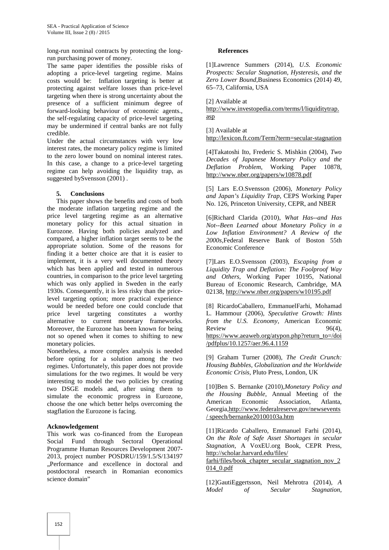long-run nominal contracts by protecting the longrun purchasing power of money.

The same paper identifies the possible risks of adopting a price-level targeting regime. Mains costs would be: Inflation targeting is better at protecting against welfare losses than price-level targeting when there is strong uncertainty about the presence of a sufficient minimum degree of forward-looking behaviour of economic agents., the self-regulating capacity of price-level targeting may be undermined if central banks are not fully credible.

Under the actual circumstances with very low interest rates, the monetary policy regime is limited to the zero lower bound on nominal interest rates. In this case, a change to a price-level targeting regime can help avoiding the liquidity trap, as suggested bySvensson (2001) .

#### **5. Conclusions**

This paper shows the benefits and costs of both the moderate inflation targeting regime and the price level targeting regime as an alternative monetary policy for this actual situation in Eurozone. Having both policies analyzed and compared, a higher inflation target seems to be the appropriate solution. Some of the reasons for finding it a better choice are that it is easier to implement, it is a very well documented theory which has been applied and tested in numerous countries, in comparison to the price level targeting which was only applied in Sweden in the early 1930s. Consequently, it is less risky than the pricelevel targeting option; more practical experience would be needed before one could conclude that price level targeting constitutes a worthy alternative to current monetary frameworks. Moreover, the Eurozone has been known for being not so opened when it comes to shifting to new monetary policies.

Nonetheless, a more complex analysis is needed before opting for a solution among the two regimes. Unfortunately, this paper does not provide simulations for the two regimes. It would be very interesting to model the two policies by creating two DSGE models and, after using them to simulate the economic progress in Eurozone, choose the one which better helps overcoming the stagflation the Eurozone is facing.

#### **Acknowledgement**

This work was co-financed from the European Social Fund through Sectoral Operational Programme Human Resources Development 2007- 2013, project number POSDRU/159/1.5/S/134197 ..Performance and excellence in doctoral and postdoctoral research in Romanian economics science domain"

#### **References**

[1]Lawrence Summers (2014), *U.S. Economic Prospects: Secular Stagnation, Hysteresis, and the Zero Lower Bound*,Business Economics (2014) 49, 65–73, California, USA

[2] Available at

http://www.investopedia.com/terms/l/liquiditytrap. asp

[3] Available at

http://lexicon.ft.com/Term?term=secular-stagnation

[4]Takatoshi Ito, Frederic S. Mishkin (2004), *Two Decades of Japanese Monetary Policy and the Deflation Problem*, Working Paper 10878, http://www.nber.org/papers/w10878.pdf

[5] Lars E.O.Svensson (2006), *Monetary Policy and Japan's Liquidity Trap*, CEPS Working Paper No. 126, Princeton University, CEPR, and NBER

[6]Richard Clarida (2010), *What Has--and Has Not--Been Learned about Monetary Policy in a Low Inflation Environment? A Review of the 2000s,*Federal Reserve Bank of Boston 55th Economic Conference

[7]Lars E.O.Svensson (2003), *Escaping from a Liquidity Trap and Deflation: The Foolproof Way and Others*, Working Paper 10195, National Bureau of Economic Research, Cambridge, MA 02138, http://www.nber.org/papers/w10195.pdf

[8] RicardoCaballero, EmmanuelFarhi, Mohamad L. Hammour (2006), *Speculative Growth: Hints from the U.S. Economy*, American Economic  $Review$  96(4), https://www.aeaweb.org/atypon.php?return\_to=/doi /pdfplus/10.1257/aer.96.4.1159

[9] Graham Turner (2008), *The Credit Crunch: Housing Bubbles, Globalization and the Worldwide Economic Crisis*, Pluto Press, London, UK

[10]Ben S. Bernanke (2010),*Monetary Policy and the Housing Bubble*, Annual Meeting of the American Economic Association, Atlanta, Georgia,http://www.federalreserve.gov/newsevents / speech/bernanke20100103a.htm

[11]Ricardo Caballero, Emmanuel Farhi (2014), *On the Role of Safe Asset Shortages in secular Stagnation*, A VoxEU.org Book, CEPR Press, http://scholar.harvard.edu/files/

farhi/files/book\_chapter\_secular\_stagnation\_nov\_2 014\_0.pdf

[12]GautiEggertsson, Neil Mehrotra (2014), *A Model of Secular Stagnation*,